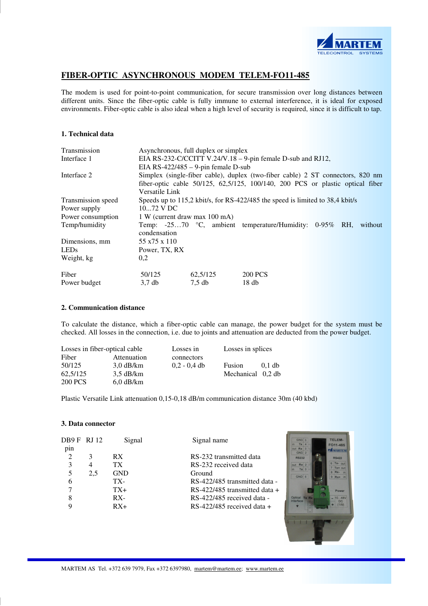

# **FIBER-OPTIC ASYNCHRONOUS MODEM TELEM-FO11-485**

The modem is used for point-to-point communication, for secure transmission over long distances between different units. Since the fiber-optic cable is fully immune to external interference, it is ideal for exposed environments. Fiber-optic cable is also ideal when a high level of security is required, since it is difficult to tap.

# **1. Technical data**

| Transmission                                                                             | Asynchronous, full duplex or simplex                                           |          |                                                         |  |  |         |
|------------------------------------------------------------------------------------------|--------------------------------------------------------------------------------|----------|---------------------------------------------------------|--|--|---------|
| Interface 1                                                                              | EIA RS-232-C/CCITT V.24/V.18 – 9-pin female D-sub and RJ12,                    |          |                                                         |  |  |         |
|                                                                                          | EIA RS-422/485 $-$ 9-pin female D-sub                                          |          |                                                         |  |  |         |
| Interface 2                                                                              | Simplex (single-fiber cable), duplex (two-fiber cable) 2 ST connectors, 820 nm |          |                                                         |  |  |         |
| fiber-optic cable $50/125$ , $62,5/125$ , $100/140$ , $200$ PCS or plastic optical fiber |                                                                                |          |                                                         |  |  |         |
| Versatile Link                                                                           |                                                                                |          |                                                         |  |  |         |
| Transmission speed                                                                       | Speeds up to 115,2 kbit/s, for RS-422/485 the speed is limited to 38,4 kbit/s  |          |                                                         |  |  |         |
| Power supply                                                                             | 1072 V DC                                                                      |          |                                                         |  |  |         |
| Power consumption                                                                        | 1 W (current draw max 100 mA)                                                  |          |                                                         |  |  |         |
| Temp/humidity                                                                            |                                                                                |          | Temp: -2570 °C, ambient temperature/Humidity: 0-95% RH, |  |  | without |
|                                                                                          | condensation                                                                   |          |                                                         |  |  |         |
| Dimensions, mm                                                                           | 55 x 75 x 110                                                                  |          |                                                         |  |  |         |
| <b>LEDs</b>                                                                              | Power, TX, RX                                                                  |          |                                                         |  |  |         |
| Weight, kg                                                                               | 0,2                                                                            |          |                                                         |  |  |         |
| Fiber                                                                                    | 50/125                                                                         | 62.5/125 | <b>200 PCS</b>                                          |  |  |         |
| Power budget                                                                             | 3.7 <sub>db</sub>                                                              | $7.5$ db | 18 <sub>db</sub>                                        |  |  |         |

#### **2. Communication distance**

To calculate the distance, which a fiber-optic cable can manage, the power budget for the system must be checked. All losses in the connection, i.e. due to joints and attenuation are deducted from the power budget.

| Losses in fiber-optical cable |                     | Losses in      | Losses in splices |          |
|-------------------------------|---------------------|----------------|-------------------|----------|
| Fiber                         | Attenuation         | connectors     |                   |          |
| 50/125                        | $3.0 \text{ dB/km}$ | $0.2 - 0.4$ db | Fusion            | $0.1$ db |
| 62,5/125                      | $3.5 \text{ dB/km}$ |                | Mechanical 0,2 db |          |
| <b>200 PCS</b>                | $6.0$ dB/km         |                |                   |          |

Plastic Versatile Link attenuation 0,15-0,18 dB/m communication distance 30m (40 kbd)

#### **3. Data connector**

| DB9 FRJ 12<br>pin |     | Signal     | Signal name                     | TELEM-<br>FO11-485<br><b>FA MARTER</b>           |
|-------------------|-----|------------|---------------------------------|--------------------------------------------------|
| 2                 |     | RX.        | RS-232 transmitted data         | GND <sub>2</sub><br><b>RS232</b><br><b>RS422</b> |
|                   | 4   | TX         | RS-232 received data            | 6 Tx- out<br>out Rx 2<br>$7$ Tx+ out             |
|                   | 2.5 | <b>GND</b> | Ground                          | $Tx$ 3<br>$8 Rx - ir$<br>GND 5<br>$9 Rx + i$     |
| 6                 |     | TX-        | RS-422/485 transmitted data -   |                                                  |
|                   |     | $TX+$      | RS-422/485 transmitted data $+$ | Power                                            |
| 8                 |     | $RX -$     | RS-422/485 received data -      | Optical Tx Rx<br>1048<br>Interface<br>DC         |
| 9                 |     | $RX+$      | $RS-422/485$ received data $+$  | (1W)                                             |
|                   |     |            |                                 |                                                  |